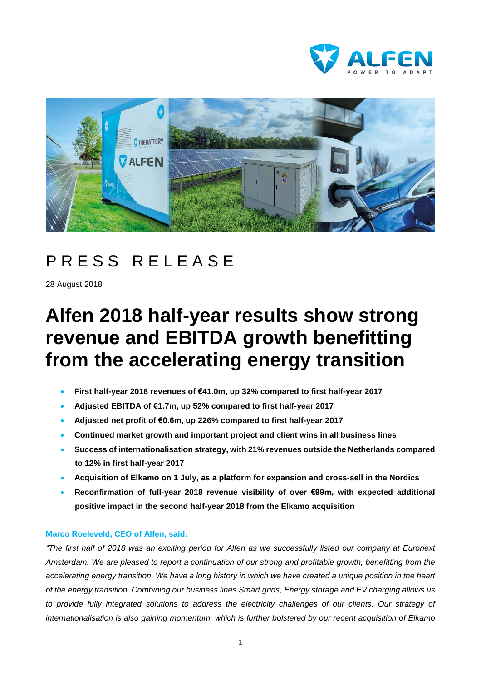



## PRESS RELEASE

28 August 2018

# **Alfen 2018 half-year results show strong revenue and EBITDA growth benefitting from the accelerating energy transition**

- **First half-year 2018 revenues of €41.0m, up 32% compared to first half-year 2017**
- **Adjusted EBITDA of €1.7m, up 52% compared to first half-year 2017**
- **Adjusted net profit of €0.6m, up 226% compared to first half-year 2017**
- **Continued market growth and important project and client wins in all business lines**
- **Success of internationalisation strategy, with 21% revenues outside the Netherlands compared to 12% in first half-year 2017**
- **Acquisition of Elkamo on 1 July, as a platform for expansion and cross-sell in the Nordics**
- **Reconfirmation of full-year 2018 revenue visibility of over €99m, with expected additional positive impact in the second half-year 2018 from the Elkamo acquisition**

#### **Marco Roeleveld, CEO of Alfen, said:**

"The first half of 2018 was an exciting period for Alfen as we successfully listed our company at Euronext Amsterdam. We are pleased to report a continuation of our strong and profitable growth, benefitting from the accelerating energy transition. We have a long history in which we have created a unique position in the heart of the energy transition. Combining our business lines Smart grids, Energy storage and EV charging allows us *to provide fully integrated solutions to address the electricity challenges of our clients. Our strategy of internationalisation is also gaining momentum, which is further bolstered by our recent acquisition of Elkamo*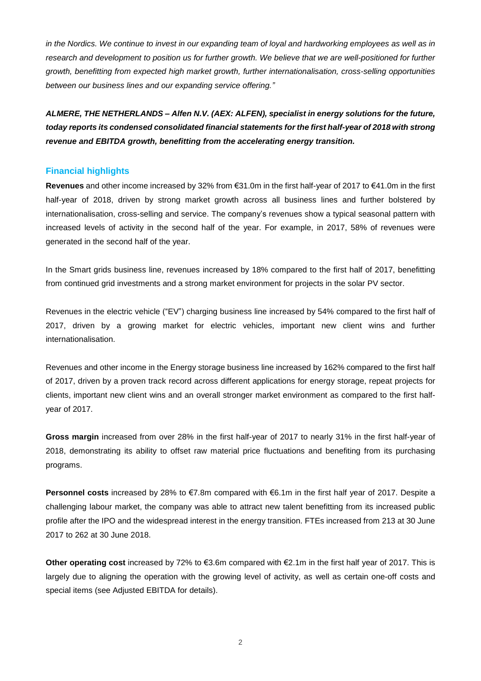in the Nordics. We continue to invest in our expanding team of loyal and hardworking employees as well as in research and development to position us for further growth. We believe that we are well-positioned for further *growth, benefitting from expected high market growth, further internationalisation, cross-selling opportunities between our business lines and our expanding service offering."*

*ALMERE, THE NETHERLANDS – Alfen N.V. (AEX: ALFEN), specialist in energy solutions for the future, today reports its condensed consolidated financial statements for the first half-year of 2018 with strong revenue and EBITDA growth, benefitting from the accelerating energy transition.*

#### **Financial highlights**

**Revenues** and other income increased by 32% from €31.0m in the first half-year of 2017 to €41.0m in the first half-year of 2018, driven by strong market growth across all business lines and further bolstered by internationalisation, cross-selling and service. The company's revenues show a typical seasonal pattern with increased levels of activity in the second half of the year. For example, in 2017, 58% of revenues were generated in the second half of the year.

In the Smart grids business line, revenues increased by 18% compared to the first half of 2017, benefitting from continued grid investments and a strong market environment for projects in the solar PV sector.

Revenues in the electric vehicle ("EV") charging business line increased by 54% compared to the first half of 2017, driven by a growing market for electric vehicles, important new client wins and further internationalisation.

Revenues and other income in the Energy storage business line increased by 162% compared to the first half of 2017, driven by a proven track record across different applications for energy storage, repeat projects for clients, important new client wins and an overall stronger market environment as compared to the first halfyear of 2017.

**Gross margin** increased from over 28% in the first half-year of 2017 to nearly 31% in the first half-year of 2018, demonstrating its ability to offset raw material price fluctuations and benefiting from its purchasing programs.

**Personnel costs** increased by 28% to €7.8m compared with €6.1m in the first half year of 2017. Despite a challenging labour market, the company was able to attract new talent benefitting from its increased public profile after the IPO and the widespread interest in the energy transition. FTEs increased from 213 at 30 June 2017 to 262 at 30 June 2018.

**Other operating cost** increased by 72% to €3.6m compared with €2.1m in the first half year of 2017. This is largely due to aligning the operation with the growing level of activity, as well as certain one-off costs and special items (see Adjusted EBITDA for details).

2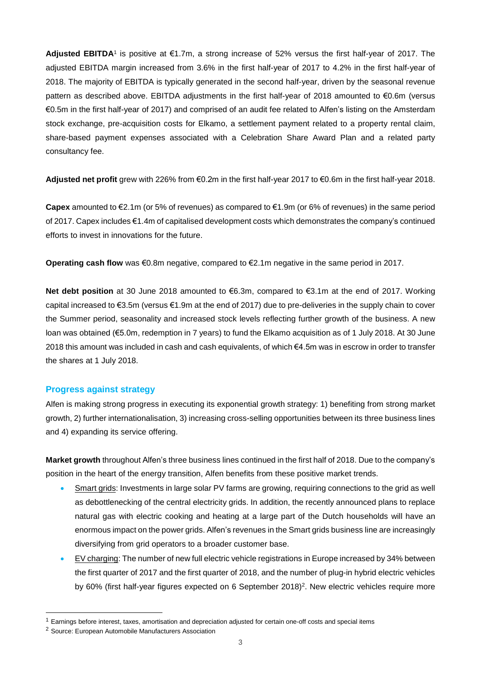**Adjusted EBITDA**1 is positive at €1.7m, a strong increase of 52% versus the first half-year of 2017. The adjusted EBITDA margin increased from 3.6% in the first half-year of 2017 to 4.2% in the first half-year of 2018. The majority of EBITDA is typically generated in the second half-year, driven by the seasonal revenue pattern as described above. EBITDA adjustments in the first half-year of 2018 amounted to €0.6m (versus €0.5m in the first half-year of 2017) and comprised of an audit fee related to Alfen's listing on the Amsterdam stock exchange, pre-acquisition costs for Elkamo, a settlement payment related to a property rental claim, share-based payment expenses associated with a Celebration Share Award Plan and a related party consultancy fee.

**Adjusted net profit** grew with 226% from €0.2m in the first half-year 2017 to €0.6m in the first half-year 2018.

**Capex** amounted to €2.1m (or 5% of revenues) as compared to €1.9m (or 6% of revenues) in the same period of 2017. Capex includes €1.4m of capitalised development costs which demonstrates the company's continued efforts to invest in innovations for the future.

**Operating cash flow** was €0.8m negative, compared to €2.1m negative in the same period in 2017.

**Net debt position** at 30 June 2018 amounted to €6.3m, compared to €3.1m at the end of 2017. Working capital increased to €3.5m (versus €1.9m at the end of 2017) due to pre-deliveries in the supply chain to cover the Summer period, seasonality and increased stock levels reflecting further growth of the business. A new loan was obtained (€5.0m, redemption in 7 years) to fund the Elkamo acquisition as of 1 July 2018. At 30 June 2018 this amount was included in cash and cash equivalents, of which €4.5m was in escrow in order to transfer the shares at 1 July 2018.

#### **Progress against strategy**

Alfen is making strong progress in executing its exponential growth strategy: 1) benefiting from strong market growth, 2) further internationalisation, 3) increasing cross-selling opportunities between its three business lines and 4) expanding its service offering.

**Market growth** throughout Alfen's three business lines continued in the first half of 2018. Due to the company's position in the heart of the energy transition, Alfen benefits from these positive market trends.

- Smart grids: Investments in large solar PV farms are growing, requiring connections to the grid as well as debottlenecking of the central electricity grids. In addition, the recently announced plans to replace natural gas with electric cooking and heating at a large part of the Dutch households will have an enormous impact on the power grids. Alfen's revenues in the Smart grids business line are increasingly diversifying from grid operators to a broader customer base.
- EV charging: The number of new full electric vehicle registrations in Europe increased by 34% between the first quarter of 2017 and the first quarter of 2018, and the number of plug-in hybrid electric vehicles by 60% (first half-year figures expected on 6 September 2018)<sup>2</sup>. New electric vehicles require more

 $\overline{a}$ 

<sup>1</sup> Earnings before interest, taxes, amortisation and depreciation adjusted for certain one-off costs and special items

<sup>2</sup> Source: European Automobile Manufacturers Association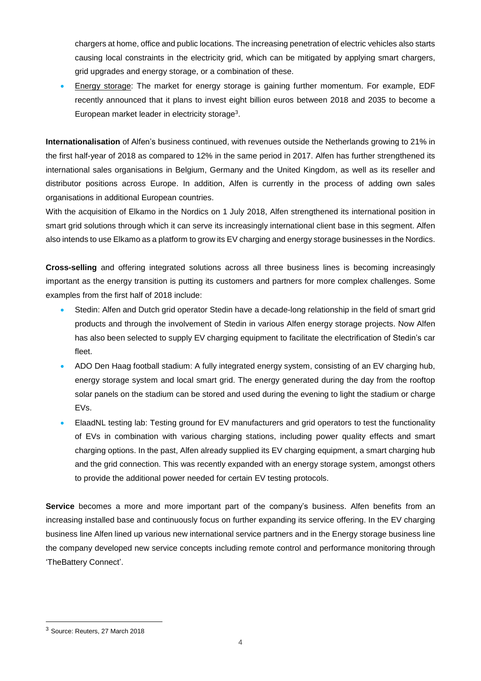chargers at home, office and public locations. The increasing penetration of electric vehicles also starts causing local constraints in the electricity grid, which can be mitigated by applying smart chargers, grid upgrades and energy storage, or a combination of these.

• Energy storage: The market for energy storage is gaining further momentum. For example, EDF recently announced that it plans to invest eight billion euros between 2018 and 2035 to become a European market leader in electricity storage<sup>3</sup>.

**Internationalisation** of Alfen's business continued, with revenues outside the Netherlands growing to 21% in the first half-year of 2018 as compared to 12% in the same period in 2017. Alfen has further strengthened its international sales organisations in Belgium, Germany and the United Kingdom, as well as its reseller and distributor positions across Europe. In addition, Alfen is currently in the process of adding own sales organisations in additional European countries.

With the acquisition of Elkamo in the Nordics on 1 July 2018, Alfen strengthened its international position in smart grid solutions through which it can serve its increasingly international client base in this segment. Alfen also intends to use Elkamo as a platform to grow its EV charging and energy storage businesses in the Nordics.

**Cross-selling** and offering integrated solutions across all three business lines is becoming increasingly important as the energy transition is putting its customers and partners for more complex challenges. Some examples from the first half of 2018 include:

- Stedin: Alfen and Dutch grid operator Stedin have a decade-long relationship in the field of smart grid products and through the involvement of Stedin in various Alfen energy storage projects. Now Alfen has also been selected to supply EV charging equipment to facilitate the electrification of Stedin's car fleet.
- ADO Den Haag football stadium: A fully integrated energy system, consisting of an EV charging hub, energy storage system and local smart grid. The energy generated during the day from the rooftop solar panels on the stadium can be stored and used during the evening to light the stadium or charge EVs.
- ElaadNL testing lab: Testing ground for EV manufacturers and grid operators to test the functionality of EVs in combination with various charging stations, including power quality effects and smart charging options. In the past, Alfen already supplied its EV charging equipment, a smart charging hub and the grid connection. This was recently expanded with an energy storage system, amongst others to provide the additional power needed for certain EV testing protocols.

**Service** becomes a more and more important part of the company's business. Alfen benefits from an increasing installed base and continuously focus on further expanding its service offering. In the EV charging business line Alfen lined up various new international service partners and in the Energy storage business line the company developed new service concepts including remote control and performance monitoring through 'TheBattery Connect'.

<sup>3</sup> Source: Reuters, 27 March 2018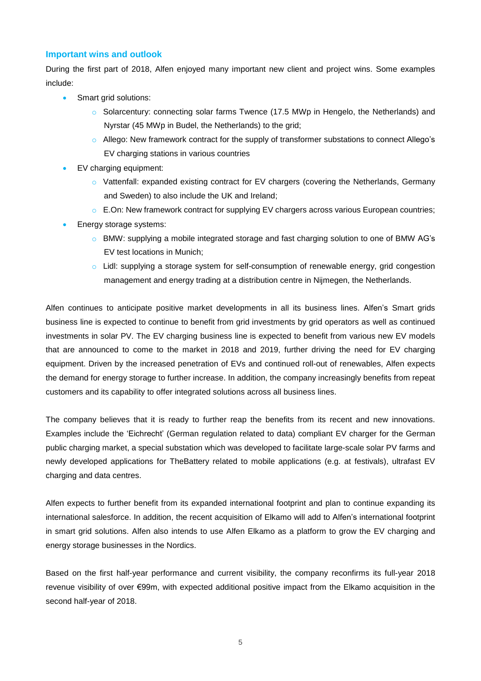#### **Important wins and outlook**

During the first part of 2018, Alfen enjoyed many important new client and project wins. Some examples include:

- Smart grid solutions:
	- o Solarcentury: connecting solar farms Twence (17.5 MWp in Hengelo, the Netherlands) and Nyrstar (45 MWp in Budel, the Netherlands) to the grid;
	- $\circ$  Allego: New framework contract for the supply of transformer substations to connect Allego's EV charging stations in various countries
- EV charging equipment:
	- o Vattenfall: expanded existing contract for EV chargers (covering the Netherlands, Germany and Sweden) to also include the UK and Ireland;
	- $\circ$  E.On: New framework contract for supplying EV chargers across various European countries;
- Energy storage systems:
	- o BMW: supplying a mobile integrated storage and fast charging solution to one of BMW AG's EV test locations in Munich;
	- $\circ$  Lidl: supplying a storage system for self-consumption of renewable energy, grid congestion management and energy trading at a distribution centre in Nijmegen, the Netherlands.

Alfen continues to anticipate positive market developments in all its business lines. Alfen's Smart grids business line is expected to continue to benefit from grid investments by grid operators as well as continued investments in solar PV. The EV charging business line is expected to benefit from various new EV models that are announced to come to the market in 2018 and 2019, further driving the need for EV charging equipment. Driven by the increased penetration of EVs and continued roll-out of renewables, Alfen expects the demand for energy storage to further increase. In addition, the company increasingly benefits from repeat customers and its capability to offer integrated solutions across all business lines.

The company believes that it is ready to further reap the benefits from its recent and new innovations. Examples include the 'Eichrecht' (German regulation related to data) compliant EV charger for the German public charging market, a special substation which was developed to facilitate large-scale solar PV farms and newly developed applications for TheBattery related to mobile applications (e.g. at festivals), ultrafast EV charging and data centres.

Alfen expects to further benefit from its expanded international footprint and plan to continue expanding its international salesforce. In addition, the recent acquisition of Elkamo will add to Alfen's international footprint in smart grid solutions. Alfen also intends to use Alfen Elkamo as a platform to grow the EV charging and energy storage businesses in the Nordics.

Based on the first half-year performance and current visibility, the company reconfirms its full-year 2018 revenue visibility of over €99m, with expected additional positive impact from the Elkamo acquisition in the second half-year of 2018.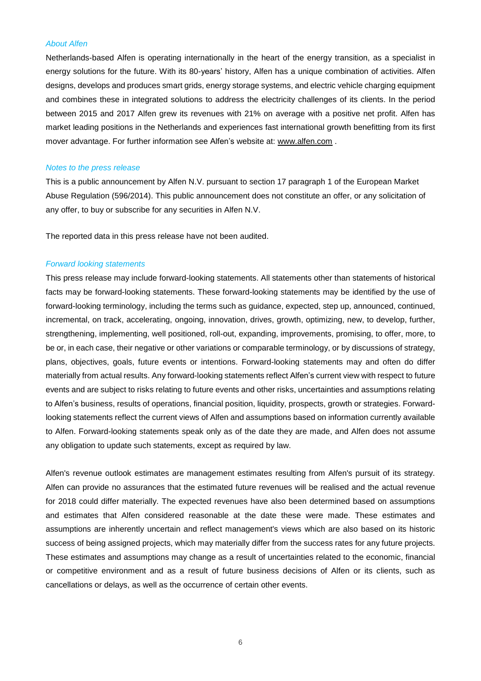#### *About Alfen*

Netherlands-based Alfen is operating internationally in the heart of the energy transition, as a specialist in energy solutions for the future. With its 80-years' history, Alfen has a unique combination of activities. Alfen designs, develops and produces smart grids, energy storage systems, and electric vehicle charging equipment and combines these in integrated solutions to address the electricity challenges of its clients. In the period between 2015 and 2017 Alfen grew its revenues with 21% on average with a positive net profit. Alfen has market leading positions in the Netherlands and experiences fast international growth benefitting from its first mover advantage. For further information see Alfen's website at: [www.alfen.com](http://www.alfen.com/) .

#### *Notes to the press release*

This is a public announcement by Alfen N.V. pursuant to section 17 paragraph 1 of the European Market Abuse Regulation (596/2014). This public announcement does not constitute an offer, or any solicitation of any offer, to buy or subscribe for any securities in Alfen N.V.

The reported data in this press release have not been audited.

#### *Forward looking statements*

This press release may include forward-looking statements. All statements other than statements of historical facts may be forward-looking statements. These forward-looking statements may be identified by the use of forward-looking terminology, including the terms such as guidance, expected, step up, announced, continued, incremental, on track, accelerating, ongoing, innovation, drives, growth, optimizing, new, to develop, further, strengthening, implementing, well positioned, roll-out, expanding, improvements, promising, to offer, more, to be or, in each case, their negative or other variations or comparable terminology, or by discussions of strategy, plans, objectives, goals, future events or intentions. Forward-looking statements may and often do differ materially from actual results. Any forward-looking statements reflect Alfen's current view with respect to future events and are subject to risks relating to future events and other risks, uncertainties and assumptions relating to Alfen's business, results of operations, financial position, liquidity, prospects, growth or strategies. Forwardlooking statements reflect the current views of Alfen and assumptions based on information currently available to Alfen. Forward-looking statements speak only as of the date they are made, and Alfen does not assume any obligation to update such statements, except as required by law.

Alfen's revenue outlook estimates are management estimates resulting from Alfen's pursuit of its strategy. Alfen can provide no assurances that the estimated future revenues will be realised and the actual revenue for 2018 could differ materially. The expected revenues have also been determined based on assumptions and estimates that Alfen considered reasonable at the date these were made. These estimates and assumptions are inherently uncertain and reflect management's views which are also based on its historic success of being assigned projects, which may materially differ from the success rates for any future projects. These estimates and assumptions may change as a result of uncertainties related to the economic, financial or competitive environment and as a result of future business decisions of Alfen or its clients, such as cancellations or delays, as well as the occurrence of certain other events.